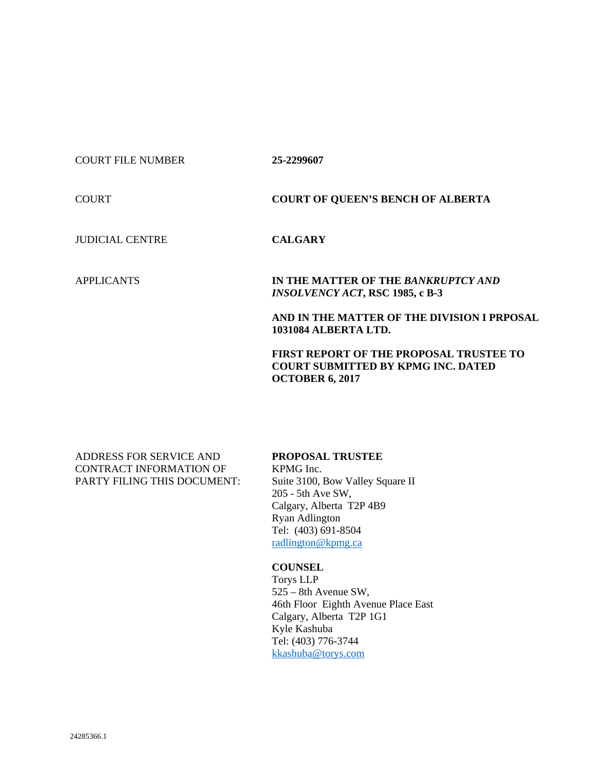## COURT FILE NUMBER **25-2299607**

COURT **COURT OF QUEEN'S BENCH OF ALBERTA**

JUDICIAL CENTRE **CALGARY**

APPLICANTS **IN THE MATTER OF THE** *BANKRUPTCY AND INSOLVENCY ACT***, RSC 1985, c B-3**

> **AND IN THE MATTER OF THE DIVISION I PRPOSAL 1031084 ALBERTA LTD.**

**FIRST REPORT OF THE PROPOSAL TRUSTEE TO COURT SUBMITTED BY KPMG INC. DATED OCTOBER 6, 2017**

ADDRESS FOR SERVICE AND CONTRACT INFORMATION OF PARTY FILING THIS DOCUMENT:

## **PROPOSAL TRUSTEE**

KPMG Inc. Suite 3100, Bow Valley Square II 205 - 5th Ave SW, Calgary, Alberta T2P 4B9 Ryan Adlington Tel: (403) 691-8504 [radlington@kpmg.ca](mailto:radlington@kpmg.ca)

## **COUNSEL**

Torys LLP 525 – 8th Avenue SW, 46th Floor Eighth Avenue Place East Calgary, Alberta T2P 1G1 Kyle Kashuba Tel: (403) 776-3744 [kkashuba@torys.com](mailto:kkashuba@torys.com)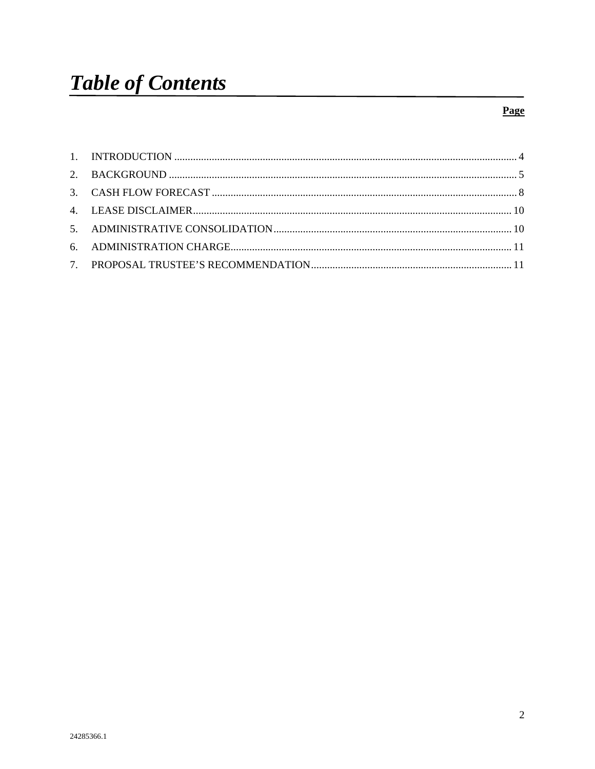## Page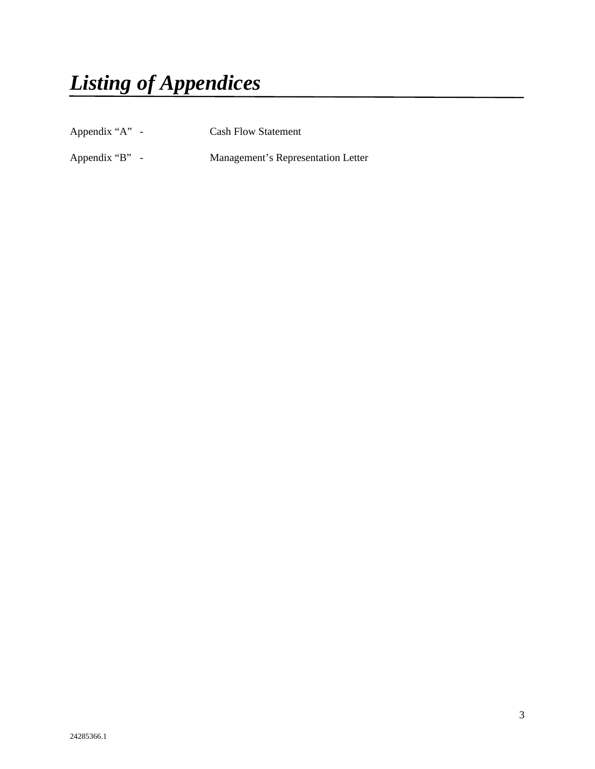*Listing of Appendices*

Appendix "A" - Cash Flow Statement

Appendix "B" - Management's Representation Letter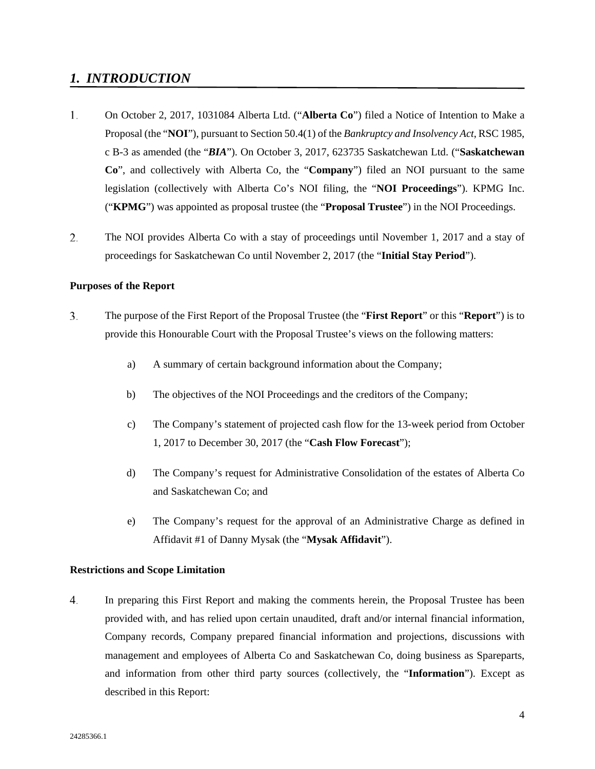## <span id="page-3-0"></span>*1. INTRODUCTION*

- $1.$ On October 2, 2017, 1031084 Alberta Ltd. ("**Alberta Co**") filed a Notice of Intention to Make a Proposal (the "**NOI**"), pursuant to Section 50.4(1) of the *Bankruptcy and Insolvency Act*, RSC 1985, c B-3 as amended (the "*BIA*"). On October 3, 2017, 623735 Saskatchewan Ltd. ("**Saskatchewan Co**", and collectively with Alberta Co, the "**Company**") filed an NOI pursuant to the same legislation (collectively with Alberta Co's NOI filing, the "**NOI Proceedings**"). KPMG Inc. ("**KPMG**") was appointed as proposal trustee (the "**Proposal Trustee**") in the NOI Proceedings.
- 2. The NOI provides Alberta Co with a stay of proceedings until November 1, 2017 and a stay of proceedings for Saskatchewan Co until November 2, 2017 (the "**Initial Stay Period**").

## **Purposes of the Report**

- $\overline{3}$ . The purpose of the First Report of the Proposal Trustee (the "**First Report**" or this "**Report**") is to provide this Honourable Court with the Proposal Trustee's views on the following matters:
	- a) A summary of certain background information about the Company;
	- b) The objectives of the NOI Proceedings and the creditors of the Company;
	- c) The Company's statement of projected cash flow for the 13-week period from October 1, 2017 to December 30, 2017 (the "**Cash Flow Forecast**");
	- d) The Company's request for Administrative Consolidation of the estates of Alberta Co and Saskatchewan Co; and
	- e) The Company's request for the approval of an Administrative Charge as defined in Affidavit #1 of Danny Mysak (the "**Mysak Affidavit**").

## **Restrictions and Scope Limitation**

4. In preparing this First Report and making the comments herein, the Proposal Trustee has been provided with, and has relied upon certain unaudited, draft and/or internal financial information, Company records, Company prepared financial information and projections, discussions with management and employees of Alberta Co and Saskatchewan Co, doing business as Spareparts, and information from other third party sources (collectively, the "**Information**"). Except as described in this Report: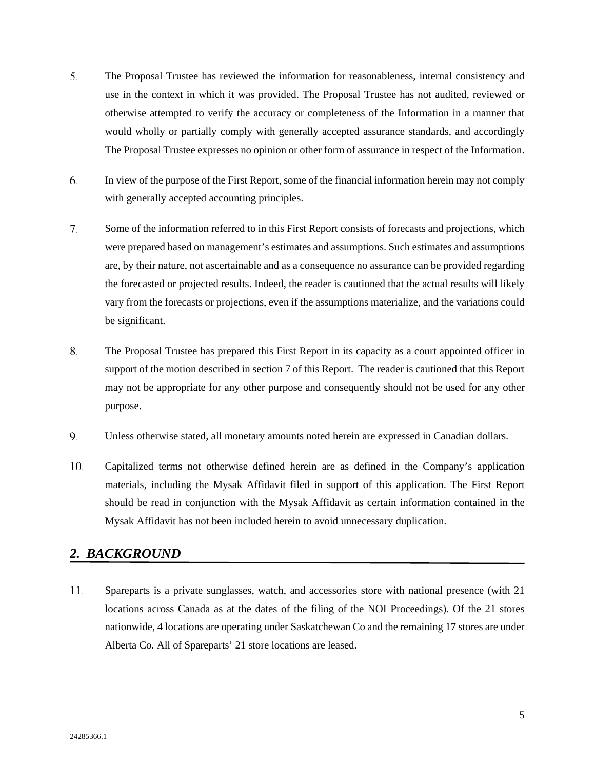- 5. The Proposal Trustee has reviewed the information for reasonableness, internal consistency and use in the context in which it was provided. The Proposal Trustee has not audited, reviewed or otherwise attempted to verify the accuracy or completeness of the Information in a manner that would wholly or partially comply with generally accepted assurance standards, and accordingly The Proposal Trustee expresses no opinion or other form of assurance in respect of the Information.
- 6. In view of the purpose of the First Report, some of the financial information herein may not comply with generally accepted accounting principles.
- 7. Some of the information referred to in this First Report consists of forecasts and projections, which were prepared based on management's estimates and assumptions. Such estimates and assumptions are, by their nature, not ascertainable and as a consequence no assurance can be provided regarding the forecasted or projected results. Indeed, the reader is cautioned that the actual results will likely vary from the forecasts or projections, even if the assumptions materialize, and the variations could be significant.
- 8. The Proposal Trustee has prepared this First Report in its capacity as a court appointed officer in support of the motion described in section 7 of this Report. The reader is cautioned that this Report may not be appropriate for any other purpose and consequently should not be used for any other purpose.
- 9. Unless otherwise stated, all monetary amounts noted herein are expressed in Canadian dollars.
- $10.$ Capitalized terms not otherwise defined herein are as defined in the Company's application materials, including the Mysak Affidavit filed in support of this application. The First Report should be read in conjunction with the Mysak Affidavit as certain information contained in the Mysak Affidavit has not been included herein to avoid unnecessary duplication.

## <span id="page-4-0"></span>*2. BACKGROUND*

 $11.$ Spareparts is a private sunglasses, watch, and accessories store with national presence (with 21 locations across Canada as at the dates of the filing of the NOI Proceedings). Of the 21 stores nationwide, 4 locations are operating under Saskatchewan Co and the remaining 17 stores are under Alberta Co. All of Spareparts' 21 store locations are leased.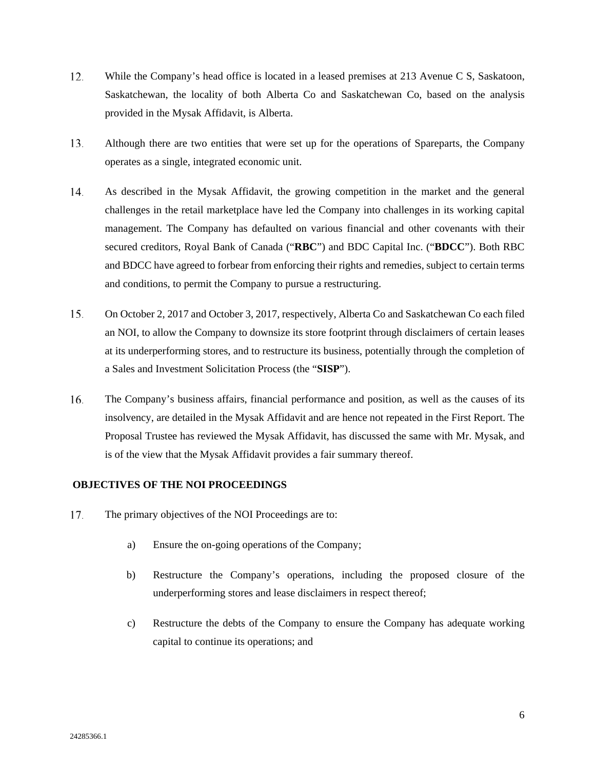- $12.$ While the Company's head office is located in a leased premises at 213 Avenue C S, Saskatoon, Saskatchewan, the locality of both Alberta Co and Saskatchewan Co, based on the analysis provided in the Mysak Affidavit, is Alberta.
- 13. Although there are two entities that were set up for the operations of Spareparts, the Company operates as a single, integrated economic unit.
- 14. As described in the Mysak Affidavit, the growing competition in the market and the general challenges in the retail marketplace have led the Company into challenges in its working capital management. The Company has defaulted on various financial and other covenants with their secured creditors, Royal Bank of Canada ("**RBC**") and BDC Capital Inc. ("**BDCC**"). Both RBC and BDCC have agreed to forbear from enforcing their rights and remedies, subject to certain terms and conditions, to permit the Company to pursue a restructuring.
- 15. On October 2, 2017 and October 3, 2017, respectively, Alberta Co and Saskatchewan Co each filed an NOI, to allow the Company to downsize its store footprint through disclaimers of certain leases at its underperforming stores, and to restructure its business, potentially through the completion of a Sales and Investment Solicitation Process (the "**SISP**").
- 16. The Company's business affairs, financial performance and position, as well as the causes of its insolvency, are detailed in the Mysak Affidavit and are hence not repeated in the First Report. The Proposal Trustee has reviewed the Mysak Affidavit, has discussed the same with Mr. Mysak, and is of the view that the Mysak Affidavit provides a fair summary thereof.

## **OBJECTIVES OF THE NOI PROCEEDINGS**

- 17. The primary objectives of the NOI Proceedings are to:
	- a) Ensure the on-going operations of the Company;
	- b) Restructure the Company's operations, including the proposed closure of the underperforming stores and lease disclaimers in respect thereof;
	- c) Restructure the debts of the Company to ensure the Company has adequate working capital to continue its operations; and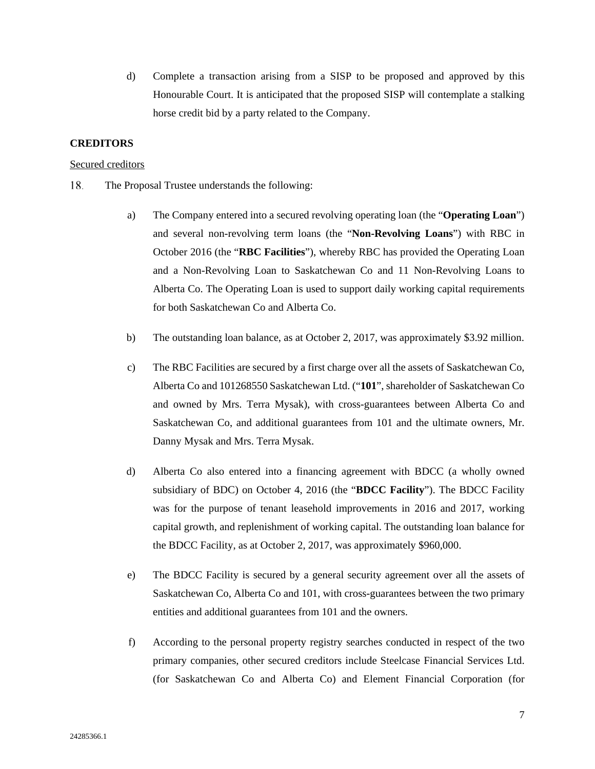d) Complete a transaction arising from a SISP to be proposed and approved by this Honourable Court. It is anticipated that the proposed SISP will contemplate a stalking horse credit bid by a party related to the Company.

### **CREDITORS**

#### Secured creditors

- 18. The Proposal Trustee understands the following:
	- a) The Company entered into a secured revolving operating loan (the "**Operating Loan**") and several non-revolving term loans (the "**Non-Revolving Loans**") with RBC in October 2016 (the "**RBC Facilities**"), whereby RBC has provided the Operating Loan and a Non-Revolving Loan to Saskatchewan Co and 11 Non-Revolving Loans to Alberta Co. The Operating Loan is used to support daily working capital requirements for both Saskatchewan Co and Alberta Co.
	- b) The outstanding loan balance, as at October 2, 2017, was approximately \$3.92 million.
	- c) The RBC Facilities are secured by a first charge over all the assets of Saskatchewan Co, Alberta Co and 101268550 Saskatchewan Ltd. ("**101**", shareholder of Saskatchewan Co and owned by Mrs. Terra Mysak), with cross-guarantees between Alberta Co and Saskatchewan Co, and additional guarantees from 101 and the ultimate owners, Mr. Danny Mysak and Mrs. Terra Mysak.
	- d) Alberta Co also entered into a financing agreement with BDCC (a wholly owned subsidiary of BDC) on October 4, 2016 (the "**BDCC Facility**"). The BDCC Facility was for the purpose of tenant leasehold improvements in 2016 and 2017, working capital growth, and replenishment of working capital. The outstanding loan balance for the BDCC Facility, as at October 2, 2017, was approximately \$960,000.
	- e) The BDCC Facility is secured by a general security agreement over all the assets of Saskatchewan Co, Alberta Co and 101, with cross-guarantees between the two primary entities and additional guarantees from 101 and the owners.
	- f) According to the personal property registry searches conducted in respect of the two primary companies, other secured creditors include Steelcase Financial Services Ltd. (for Saskatchewan Co and Alberta Co) and Element Financial Corporation (for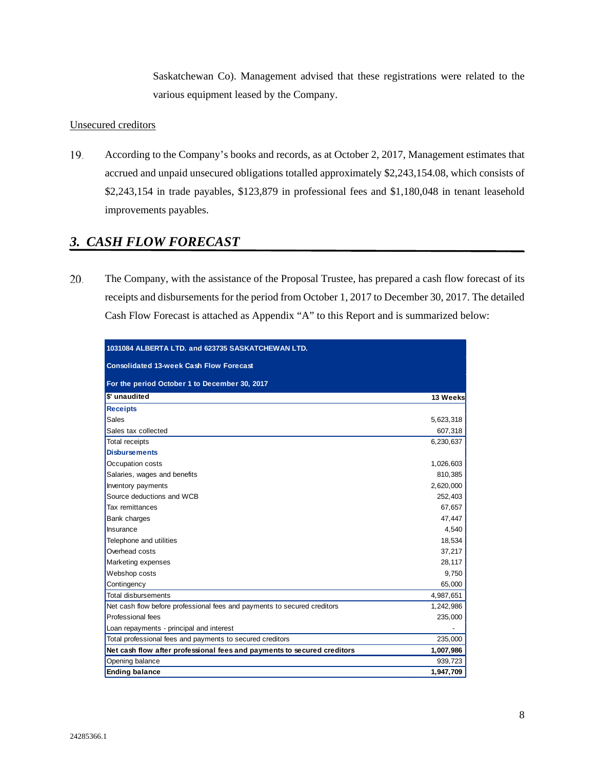Saskatchewan Co). Management advised that these registrations were related to the various equipment leased by the Company.

## Unsecured creditors

19. According to the Company's books and records, as at October 2, 2017, Management estimates that accrued and unpaid unsecured obligations totalled approximately \$2,243,154.08, which consists of \$2,243,154 in trade payables, \$123,879 in professional fees and \$1,180,048 in tenant leasehold improvements payables.

# <span id="page-7-0"></span>*3. CASH FLOW FORECAST*

20. The Company, with the assistance of the Proposal Trustee, has prepared a cash flow forecast of its receipts and disbursements for the period from October 1, 2017 to December 30, 2017. The detailed Cash Flow Forecast is attached as Appendix "A" to this Report and is summarized below:

| 1031084 ALBERTA LTD, and 623735 SASKATCHEWAN LTD.                        |           |  |  |  |  |  |  |  |
|--------------------------------------------------------------------------|-----------|--|--|--|--|--|--|--|
| <b>Consolidated 13-week Cash Flow Forecast</b>                           |           |  |  |  |  |  |  |  |
| For the period October 1 to December 30, 2017                            |           |  |  |  |  |  |  |  |
| \$' unaudited                                                            | 13 Weeks  |  |  |  |  |  |  |  |
| <b>Receipts</b>                                                          |           |  |  |  |  |  |  |  |
| <b>Sales</b>                                                             | 5,623,318 |  |  |  |  |  |  |  |
| Sales tax collected                                                      | 607,318   |  |  |  |  |  |  |  |
| <b>Total receipts</b>                                                    | 6,230,637 |  |  |  |  |  |  |  |
| <b>Disbursements</b>                                                     |           |  |  |  |  |  |  |  |
| Occupation costs                                                         | 1,026,603 |  |  |  |  |  |  |  |
| Salaries, wages and benefits                                             | 810,385   |  |  |  |  |  |  |  |
| Inventory payments                                                       | 2,620,000 |  |  |  |  |  |  |  |
| Source deductions and WCB                                                | 252,403   |  |  |  |  |  |  |  |
| Tax remittances                                                          | 67,657    |  |  |  |  |  |  |  |
| <b>Bank charges</b>                                                      | 47,447    |  |  |  |  |  |  |  |
| Insurance                                                                | 4,540     |  |  |  |  |  |  |  |
| Telephone and utilities                                                  | 18,534    |  |  |  |  |  |  |  |
| Overhead costs                                                           | 37,217    |  |  |  |  |  |  |  |
| Marketing expenses                                                       | 28,117    |  |  |  |  |  |  |  |
| Webshop costs                                                            | 9.750     |  |  |  |  |  |  |  |
| Contingency                                                              | 65,000    |  |  |  |  |  |  |  |
| <b>Total disbursements</b>                                               | 4,987,651 |  |  |  |  |  |  |  |
| Net cash flow before professional fees and payments to secured creditors | 1,242,986 |  |  |  |  |  |  |  |
| Professional fees                                                        | 235,000   |  |  |  |  |  |  |  |
| Loan repayments - principal and interest                                 |           |  |  |  |  |  |  |  |
| Total professional fees and payments to secured creditors                | 235,000   |  |  |  |  |  |  |  |
| Net cash flow after professional fees and payments to secured creditors  |           |  |  |  |  |  |  |  |
| Opening balance                                                          | 939,723   |  |  |  |  |  |  |  |
| <b>Ending balance</b>                                                    |           |  |  |  |  |  |  |  |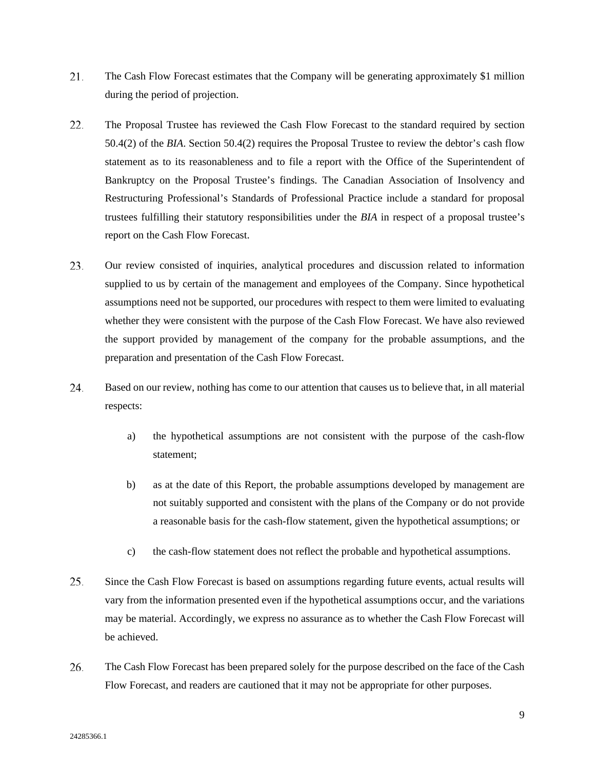- 21. The Cash Flow Forecast estimates that the Company will be generating approximately \$1 million during the period of projection.
- 22. The Proposal Trustee has reviewed the Cash Flow Forecast to the standard required by section 50.4(2) of the *BIA*. Section 50.4(2) requires the Proposal Trustee to review the debtor's cash flow statement as to its reasonableness and to file a report with the Office of the Superintendent of Bankruptcy on the Proposal Trustee's findings. The Canadian Association of Insolvency and Restructuring Professional's Standards of Professional Practice include a standard for proposal trustees fulfilling their statutory responsibilities under the *BIA* in respect of a proposal trustee's report on the Cash Flow Forecast.
- 23. Our review consisted of inquiries, analytical procedures and discussion related to information supplied to us by certain of the management and employees of the Company. Since hypothetical assumptions need not be supported, our procedures with respect to them were limited to evaluating whether they were consistent with the purpose of the Cash Flow Forecast. We have also reviewed the support provided by management of the company for the probable assumptions, and the preparation and presentation of the Cash Flow Forecast.
- 24. Based on our review, nothing has come to our attention that causes us to believe that, in all material respects:
	- a) the hypothetical assumptions are not consistent with the purpose of the cash-flow statement;
	- b) as at the date of this Report, the probable assumptions developed by management are not suitably supported and consistent with the plans of the Company or do not provide a reasonable basis for the cash-flow statement, given the hypothetical assumptions; or
	- c) the cash-flow statement does not reflect the probable and hypothetical assumptions.
- 25. Since the Cash Flow Forecast is based on assumptions regarding future events, actual results will vary from the information presented even if the hypothetical assumptions occur, and the variations may be material. Accordingly, we express no assurance as to whether the Cash Flow Forecast will be achieved.
- 26. The Cash Flow Forecast has been prepared solely for the purpose described on the face of the Cash Flow Forecast, and readers are cautioned that it may not be appropriate for other purposes.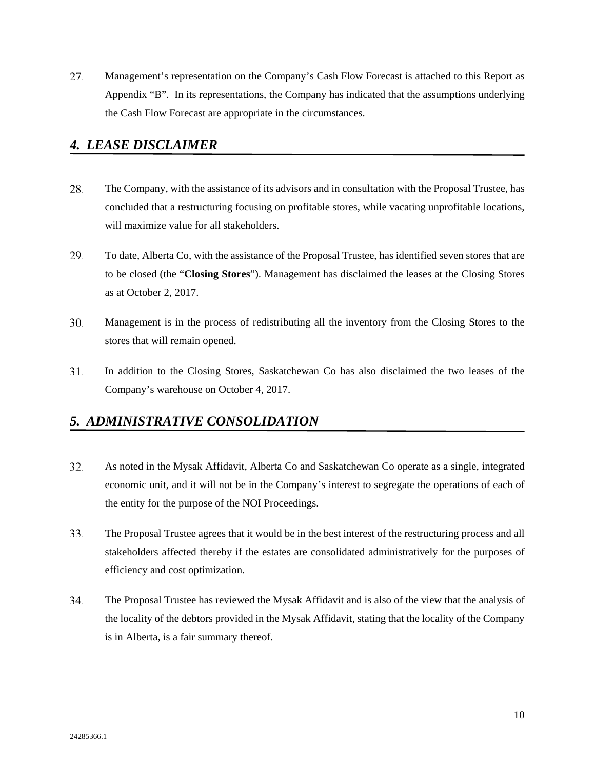27. Management's representation on the Company's Cash Flow Forecast is attached to this Report as Appendix "B". In its representations, the Company has indicated that the assumptions underlying the Cash Flow Forecast are appropriate in the circumstances.

## <span id="page-9-0"></span>*4. LEASE DISCLAIMER*

- 28. The Company, with the assistance of its advisors and in consultation with the Proposal Trustee, has concluded that a restructuring focusing on profitable stores, while vacating unprofitable locations, will maximize value for all stakeholders.
- 29. To date, Alberta Co, with the assistance of the Proposal Trustee, has identified seven stores that are to be closed (the "**Closing Stores**"). Management has disclaimed the leases at the Closing Stores as at October 2, 2017.
- $30.$ Management is in the process of redistributing all the inventory from the Closing Stores to the stores that will remain opened.
- $31.$ In addition to the Closing Stores, Saskatchewan Co has also disclaimed the two leases of the Company's warehouse on October 4, 2017.

## <span id="page-9-1"></span>*5. ADMINISTRATIVE CONSOLIDATION*

- 32. As noted in the Mysak Affidavit, Alberta Co and Saskatchewan Co operate as a single, integrated economic unit, and it will not be in the Company's interest to segregate the operations of each of the entity for the purpose of the NOI Proceedings.
- 33. The Proposal Trustee agrees that it would be in the best interest of the restructuring process and all stakeholders affected thereby if the estates are consolidated administratively for the purposes of efficiency and cost optimization.
- 34. The Proposal Trustee has reviewed the Mysak Affidavit and is also of the view that the analysis of the locality of the debtors provided in the Mysak Affidavit, stating that the locality of the Company is in Alberta, is a fair summary thereof.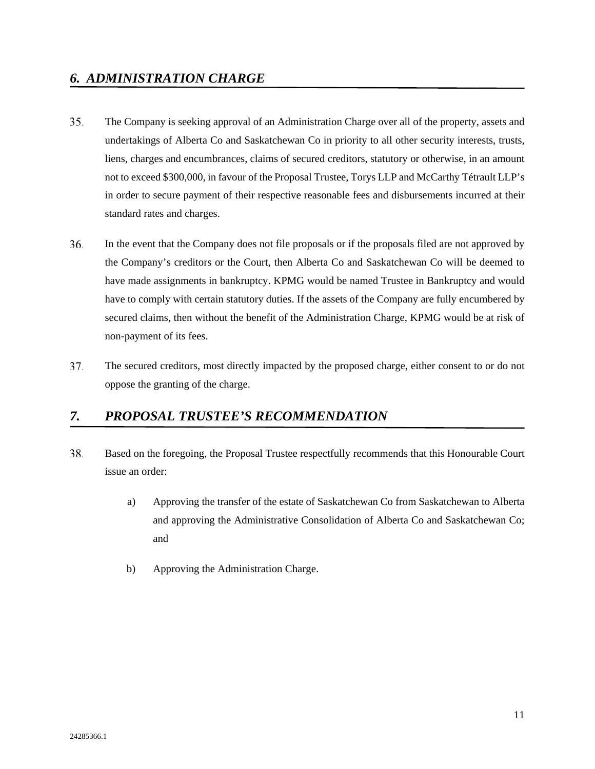- <span id="page-10-0"></span>35. The Company is seeking approval of an Administration Charge over all of the property, assets and undertakings of Alberta Co and Saskatchewan Co in priority to all other security interests, trusts, liens, charges and encumbrances, claims of secured creditors, statutory or otherwise, in an amount not to exceed \$300,000, in favour of the Proposal Trustee, Torys LLP and McCarthy Tétrault LLP's in order to secure payment of their respective reasonable fees and disbursements incurred at their standard rates and charges.
- 36. In the event that the Company does not file proposals or if the proposals filed are not approved by the Company's creditors or the Court, then Alberta Co and Saskatchewan Co will be deemed to have made assignments in bankruptcy. KPMG would be named Trustee in Bankruptcy and would have to comply with certain statutory duties. If the assets of the Company are fully encumbered by secured claims, then without the benefit of the Administration Charge, KPMG would be at risk of non-payment of its fees.
- 37. The secured creditors, most directly impacted by the proposed charge, either consent to or do not oppose the granting of the charge.

# <span id="page-10-1"></span>*7. PROPOSAL TRUSTEE'S RECOMMENDATION*

- Based on the foregoing, the Proposal Trustee respectfully recommends that this Honourable Court 38. issue an order:
	- a) Approving the transfer of the estate of Saskatchewan Co from Saskatchewan to Alberta and approving the Administrative Consolidation of Alberta Co and Saskatchewan Co; and
	- b) Approving the Administration Charge.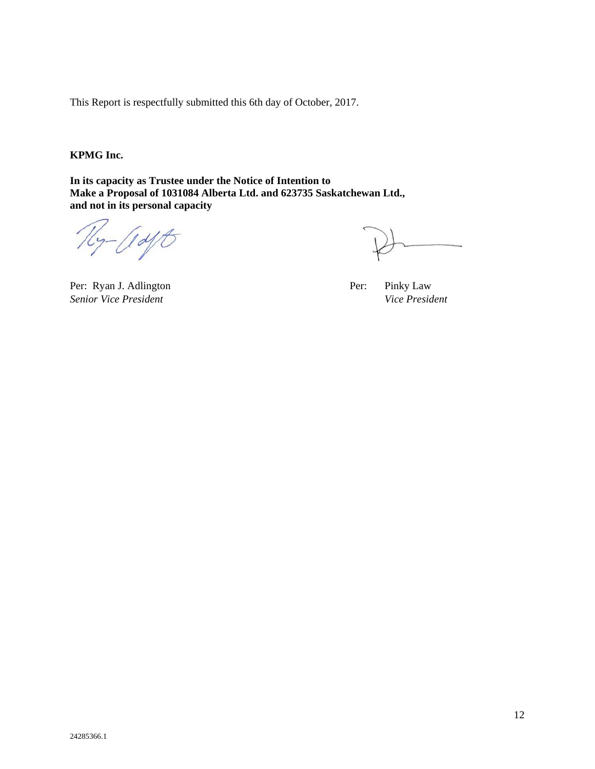This Report is respectfully submitted this 6th day of October, 2017.

**KPMG Inc.**

**In its capacity as Trustee under the Notice of Intention to Make a Proposal of 1031084 Alberta Ltd. and 623735 Saskatchewan Ltd., and not in its personal capacity**

 $-$  (1 dft)

Per: Ryan J. Adlington Per: Pinky Law *Senior Vice President Vice President*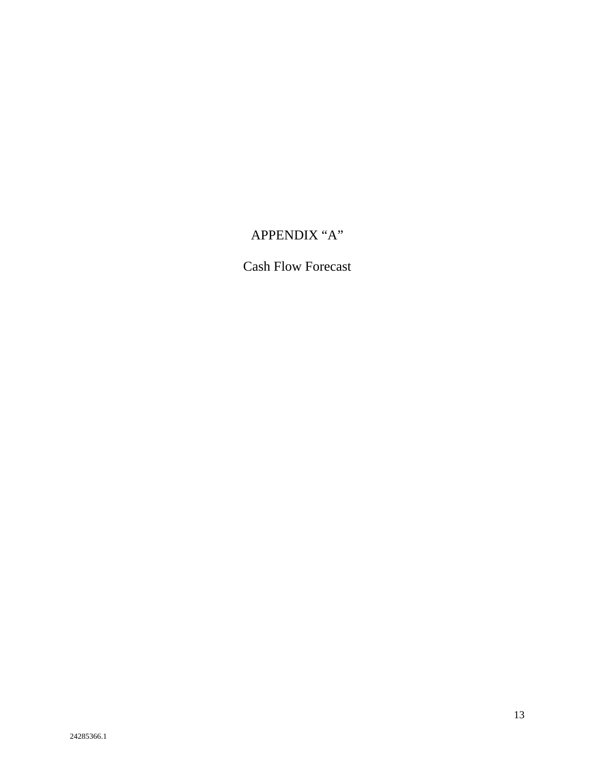# APPENDIX "A"

# Cash Flow Forecast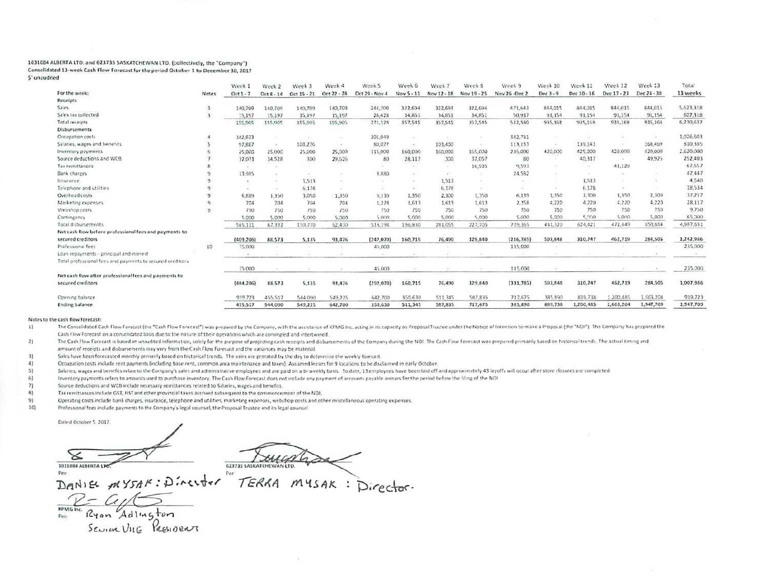#### 1031084 ALBERTA LTD. and 623735 SASKATCHEWAN LTD. (collectively, the "Company") Consolidated 13-week Cash Flow Forecast for the period October 1 to December 30, 2017 \$' unaudited

|                                                            |                 | Week 1     | Week 2       | Week 3            | Week 4      | Week 5                | Week 6     | Week 7      | Week 8      | Week 9        | Week 10   | Week 11     | Week 12     | Week 13     | Tota <sup>®</sup> |
|------------------------------------------------------------|-----------------|------------|--------------|-------------------|-------------|-----------------------|------------|-------------|-------------|---------------|-----------|-------------|-------------|-------------|-------------------|
| For the week:                                              | Nates           | $Oct1 - 7$ | $Oct 8 - 14$ | Oct 15 - 21       | Oct 22 - 28 | <b>Drt 29 - Nov 4</b> | Nov 5 - 11 | Nov 12 - 18 | Nov 19 - 25 | Nov 26 -Dec 2 | Dec 3 - 9 | Dec 10 - 16 | Dec 17 - 23 | Dec 24 - 30 | 13 weeks          |
| Receipts                                                   |                 |            |              |                   |             |                       |            |             |             |               |           |             |             |             |                   |
| Sales                                                      |                 | 140,709    | 140,709      | 140,709           | 140,709     | 244,700               | 322,694    | 322,694     | 322,694     | 471,643       | 844,015   | 844,015     | 844,015     | 844,015     | 5,623,318         |
| Sales tax collected                                        |                 | 15,197     | 15,197       | 15,197            | 15,197      | 26,428                | 34,851     | 34.851      | 34.851      | 50.937        | 91.154    | 91.154      | 91.154      | 91,154      | 607,318           |
| Total receipts                                             |                 | 155,905    | 155,905      | 155,905           | 155,905     | 271,128               | 357,545    | 357,545     | 357,545     | 522,580       | 935,168   | 935,168     | 935,168     | 935,168     | 6,230,637         |
| <b>Disbursements</b>                                       |                 |            |              |                   |             |                       |            |             |             |               |           |             |             |             |                   |
| Occupation costs                                           |                 | 382,823    |              |                   |             | 301,049               |            |             |             | 342,731       |           |             |             |             | 1,026,503         |
| Salaries, wages and benefits                               |                 | 97,827     | $\sim$       | 103,276           | $\sim$      | 80,077                | $\sim$     | 103,400     |             | 113,133       |           | 139,143     |             | 168,469     | 810,385           |
| Inventory payments                                         |                 | 25,000     | 25,000       | 25,000            | 25,000      | 115,000               | 160,000    | 160,000     | 165,000     | 235,000       | 420,000   | 425,000     | 420,000     | 420.000     | 2,620,000         |
| Source deductions and WCB                                  |                 | 32,073     | 34,528       | 300               | 29,625      | 80                    | 28,117     | 300         | 37.057      | 80            | $\sim$    | 40,317      | $-$         | 49.925      | 252,403           |
| Tax remittances                                            |                 | $\sim$     |              |                   |             |                       |            |             | 16,935      | 9,593         |           |             | 41,129      |             | 67,657            |
| <b>Bank charges</b>                                        |                 | 13,985     | $\sim$       |                   |             | 8,880                 |            |             |             | 24,582        |           |             |             |             | 47,447            |
| Insurance                                                  |                 |            |              | 1,513             |             |                       |            | 1,513       |             |               |           | 1.513       |             |             | 4,540             |
| Telephone and utilities                                    |                 | $\sim$     | $\sim$       | 6.178             |             | $\cdot$               | $\sim$     | 6,178       | $\sim$      |               | -20       | 6,178       | <b>Call</b> |             | 18,534            |
| Overhead costs                                             |                 | 6,889      | 1,350        | 3.050             | 1,350       | 5.139                 | 1,350      | 2,300       | 1,350       | 6.139         | 1,350     | 2,300       | 1,350       | 2,300       | 37,217            |
| Marketing expenses                                         |                 | 704        | 704          | 704               | 704         | 1,224                 | 1.613      | 1,613       | 1,613       | 2,358         | 4,220     | 4.220       | 4,220       | 4,220       | 28,117            |
| Webshop costs                                              |                 | 750        | 750          | 750               | 750         | 750                   | 750        | 750         | 750         | 750           | 750       | 750         | 750         | 750         | 9,750             |
| Contingency                                                |                 | 5.000      | 5,000        | 5.000             | 5,000       | 5,000                 | 5,000      | 5,000       | 5,000       | 5,000         | 5,000     | 5,000       | 5,000       | 5,000       | 65,000            |
| Total disbursements                                        |                 | 565,111    | 67,332       | 150,770           | 62,430      | 518,198               | 196,830    | 281.055     | 227,705     | 739,365       | 431,320   | 624,421     | 472.449     | 650.664     | 4,987,651         |
| Net cash flow before professional fees and payments to     |                 |            |              |                   |             |                       |            |             |             |               |           |             |             |             |                   |
| secured creditors                                          |                 | (409, 206) | 88,573       | 5.135             | 93,476      | (247, 070)            | 160,715    | 76,490      | 129,840     | (216, 785)    | 503,848   | 310,747     | 462,719     | 284,505     | 1,242,986         |
| Professional fees                                          | 10 <sup>°</sup> | 75,000     |              |                   |             | 45,000                |            |             |             | 115,000       |           |             |             |             | 235,000           |
| Loan repayments - principal and interest                   |                 | $\sim$     | œ            |                   |             |                       |            |             |             |               |           |             |             | $\sim$      |                   |
| Total professional fees and payments to secured creditors. |                 |            |              |                   |             |                       |            |             |             |               |           |             |             |             |                   |
|                                                            |                 | 75,000     |              | <b>COLLECTION</b> |             | 45,000                |            |             | ALC:        | 115,000       |           |             |             |             | 235,000           |
| Net cash flow after professional fees and payments to      |                 |            |              |                   |             |                       |            |             |             |               |           |             |             |             |                   |
| secured creditors                                          |                 | (484, 206) | 88,573       | 5,135             | 93,476      | (292, 070)            | 160,715    | 76,490      | 129,840     | (331, 785)    | 503,848   | 310,747     | 462,719     | 284,505     | 1,007,986         |
| Opening balance                                            |                 | 939,723    | 455,517      | 544,090           | 549,225     | 642,700               | 350,630    | 511,345     | 587,835     | 717,675       | 385,890   | 839,738     | 1,200,485   | 1,663,204   | 939,723           |
| <b>Ending balance</b>                                      |                 | 455,517    | 544,090      | 549,225           | 642,700     | 350,630               | 511,345    | 587,835     | 717,675     | 385,890       | 889,738   | 1,200,485   | 1,663,204   | 1,947,709   | 1,947,709         |

#### Notes to the cash flow forecast:

 $6)$ 

The Consolidated Cash Flow Forecast (the "Cash Flow Forecast") was prepared by the Company, with the assistance of KPMG Inc. acting in its capacity as Proposal Trustee under the Notice of Intention to make a Proposal (the 1) Cash Flow Forecast on a consolidated basis due to the nature of their operations which are comingled and intertwined.

 $2)$ The Cash Flow Forecast is based on unaudited information, solely for the purpose of projecting cash receipts and disbursements of the Company during the NOI. The Cash Flow Forecast was prepared primarily based on historica amount of receipts and disbursements may vary from the Cash Flow Forecast and the variances may be material.

 $3)$ Sales have been forecasted monthly primarily based on historical trends. The sales are prorated by the day to determine the weekly forecast.

 $4)$ Occupation costs include rent payments (including base rent, common area maintenance and taxes). Assumed leases for 9 locations to be disclaimed in early October.

 $51$ Salaries, wages and benefits relate to the Company's sales and administrative employees and are paid on a bi-weekly basis. To date, 13 employees have been laid off and approximately 43 layoffs will occur after store closur

Inventory payments refers to amounts used to purchase inventory. The Cash Flow Forecast does not include any payment of accounts payable arrears for the period before the filing of the NOI.

 $7)$ Source deductions and WCB include necessary remittances related to Salaries, wages and benefits.

 $8)$ Tax remittances include GST, HST and other provincial taxes accrued subsequent to the commencement of the NOI.

Operating costs include bank charges, insurance, telephone and utilities, marketing expenses, webshop costs and other miscellaneous operating expenses. 9)

 $1O$ Professional fees include payments to the Company's legal counsel, the Proposal Trustee and its legal counsel.

Dated October 5, 2017.

1031084 ALBERTA LTD

623735 SASKATCHEWAN LTD. Per:

Per:

DANIEL MYSAK: Director TERRA MYSAK:

 $\underbrace{\overbrace{\text{RPMG Inc.} \text{Ryan} \text{Adung}}^{\text{RPMG Inc.}}$ Sevin VILE PRESIDENT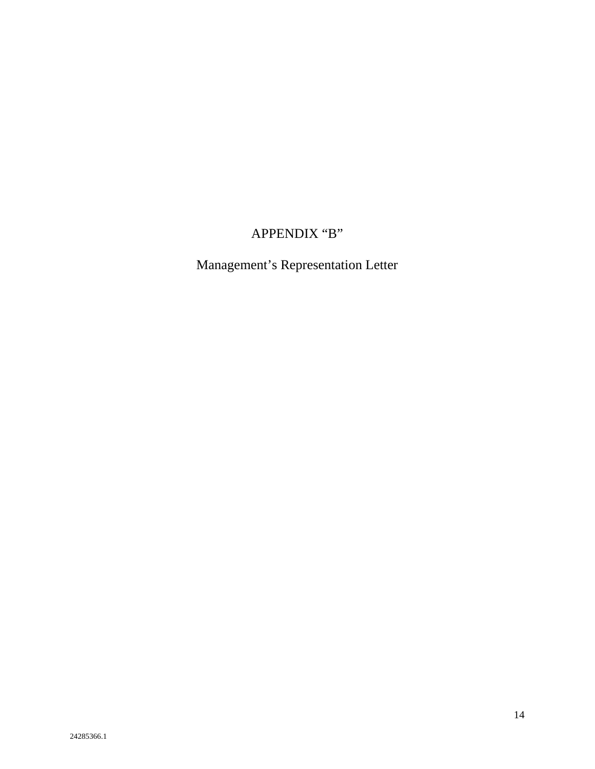# APPENDIX "B"

Management's Representation Letter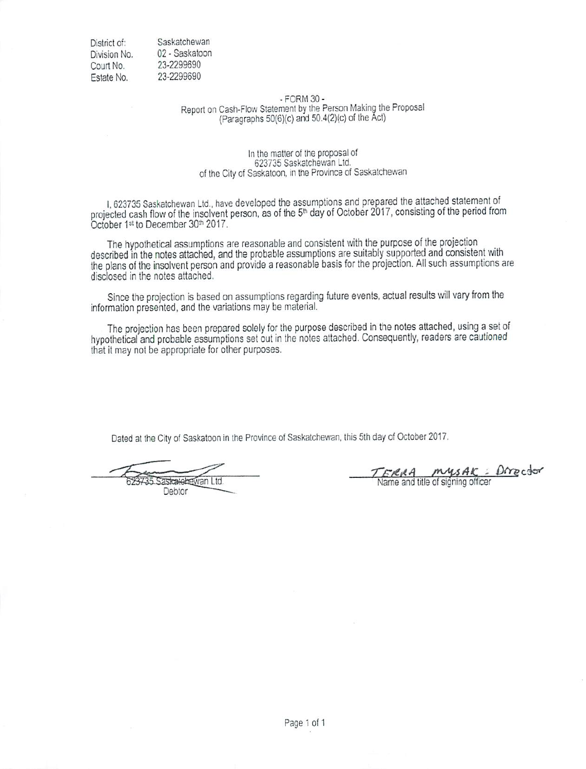District of: Division No. Court No. Estate No.

Saskatchewan 02 - Saskatoon 23-2299690 23-2299690

# $-$  FORM 30 $-$ Report on Cash-Flow Statement by the Person Making the Proposal (Paragraphs 50(6)(c) and 50.4(2)(c) of the Act)

#### In the matter of the proposal of 623735 Saskatchewan Ltd. of the City of Saskatoon, in the Province of Saskatchewan

I, 623735 Saskatchewan Ltd., have developed the assumptions and prepared the attached statement of projected cash flow of the insolvent person, as of the 5<sup>th</sup> day of October 2017, consisting of the period from October 1st to December 30th 2017.

The hypothetical assumptions are reasonable and consistent with the purpose of the projection described in the notes attached, and the probable assumptions are suitably supported and consistent with the plans of the insolvent person and provide a reasonable basis for the projection. All such assumptions are disclosed in the notes attached.

Since the projection is based on assumptions regarding future events, actual results will vary from the information presented, and the variations may be material.

The projection has been prepared solely for the purpose described in the notes attached, using a set of hypothetical and probable assumptions set out in the notes attached. Consequently, readers are cautioned that it may not be appropriate for other purposes.

Dated at the City of Saskatoon in the Province of Saskatchewan, this 5th day of October 2017.

as<del>katela</del>ewan Ltd. Debtor

Director mysAK ERRA Name and title of signing officer